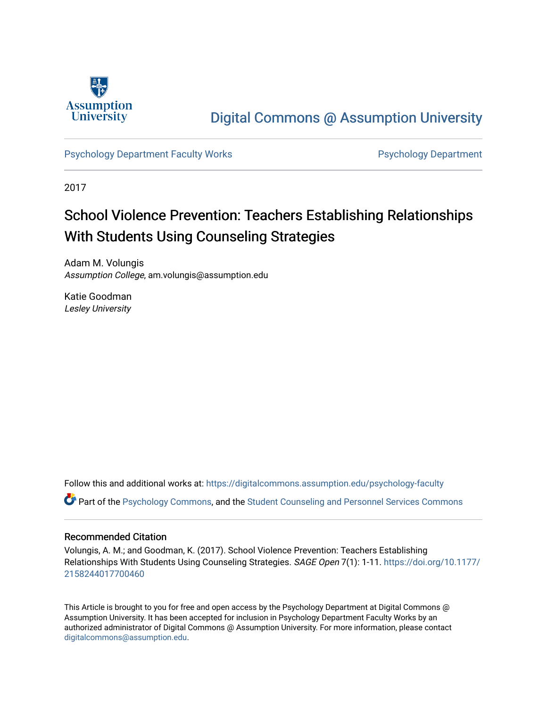

# [Digital Commons @ Assumption University](https://digitalcommons.assumption.edu/)

[Psychology Department Faculty Works](https://digitalcommons.assumption.edu/psychology-faculty) **Provides Accord Psychology Department** 

2017

# School Violence Prevention: Teachers Establishing Relationships With Students Using Counseling Strategies

Adam M. Volungis Assumption College, am.volungis@assumption.edu

Katie Goodman Lesley University

Follow this and additional works at: [https://digitalcommons.assumption.edu/psychology-faculty](https://digitalcommons.assumption.edu/psychology-faculty?utm_source=digitalcommons.assumption.edu%2Fpsychology-faculty%2F2&utm_medium=PDF&utm_campaign=PDFCoverPages) 

Part of the [Psychology Commons,](http://network.bepress.com/hgg/discipline/404?utm_source=digitalcommons.assumption.edu%2Fpsychology-faculty%2F2&utm_medium=PDF&utm_campaign=PDFCoverPages) and the [Student Counseling and Personnel Services Commons](http://network.bepress.com/hgg/discipline/802?utm_source=digitalcommons.assumption.edu%2Fpsychology-faculty%2F2&utm_medium=PDF&utm_campaign=PDFCoverPages)

## Recommended Citation

Volungis, A. M.; and Goodman, K. (2017). School Violence Prevention: Teachers Establishing Relationships With Students Using Counseling Strategies. SAGE Open 7(1): 1-11. [https://doi.org/10.1177/](https://doi.org/10.1177/2158244017700460) [2158244017700460](https://doi.org/10.1177/2158244017700460) 

This Article is brought to you for free and open access by the Psychology Department at Digital Commons @ Assumption University. It has been accepted for inclusion in Psychology Department Faculty Works by an authorized administrator of Digital Commons @ Assumption University. For more information, please contact [digitalcommons@assumption.edu](mailto:digitalcommons@assumption.edu).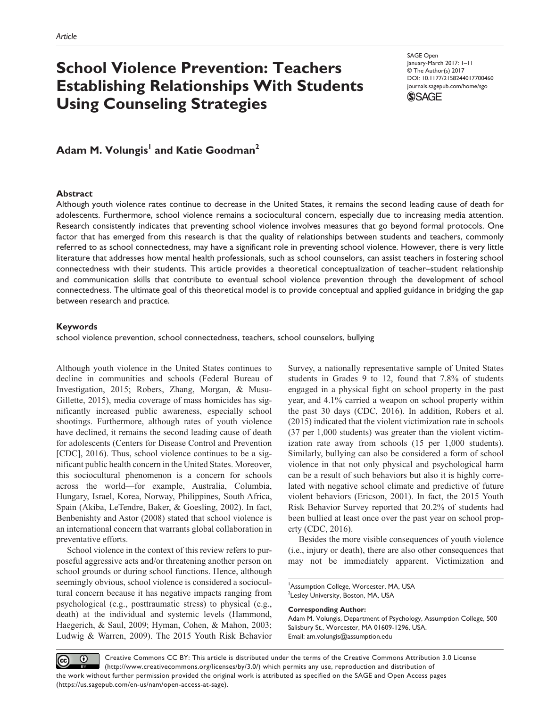# **School Violence Prevention: Teachers Establishing Relationships With Students Using Counseling Strategies**

DOI: 10.1177/2158244017700460 SAGE Open January-March 2017: 1–11 © The Author(s) 2017 [journals.sagepub.com/home/sgo](https://journals.sagepub.com/home/sgo)



 $\bm{\mathsf{Adam}}$   $\bm{\mathsf{M}}.\ \bm{\mathsf{Volumeis}}^{\text{l}}$  and  $\bm{\mathsf{K}$ atie Goodman $^2$ 

#### **Abstract**

Although youth violence rates continue to decrease in the United States, it remains the second leading cause of death for adolescents. Furthermore, school violence remains a sociocultural concern, especially due to increasing media attention. Research consistently indicates that preventing school violence involves measures that go beyond formal protocols. One factor that has emerged from this research is that the quality of relationships between students and teachers, commonly referred to as school connectedness, may have a significant role in preventing school violence. However, there is very little literature that addresses how mental health professionals, such as school counselors, can assist teachers in fostering school connectedness with their students. This article provides a theoretical conceptualization of teacher–student relationship and communication skills that contribute to eventual school violence prevention through the development of school connectedness. The ultimate goal of this theoretical model is to provide conceptual and applied guidance in bridging the gap between research and practice.

#### **Keywords**

school violence prevention, school connectedness, teachers, school counselors, bullying

Although youth violence in the United States continues to decline in communities and schools (Federal Bureau of Investigation, 2015; Robers, Zhang, Morgan, & Musu-Gillette, 2015), media coverage of mass homicides has significantly increased public awareness, especially school shootings. Furthermore, although rates of youth violence have declined, it remains the second leading cause of death for adolescents (Centers for Disease Control and Prevention [CDC], 2016). Thus, school violence continues to be a significant public health concern in the United States. Moreover, this sociocultural phenomenon is a concern for schools across the world—for example, Australia, Columbia, Hungary, Israel, Korea, Norway, Philippines, South Africa, Spain (Akiba, LeTendre, Baker, & Goesling, 2002). In fact, Benbenishty and Astor (2008) stated that school violence is an international concern that warrants global collaboration in preventative efforts.

School violence in the context of this review refers to purposeful aggressive acts and/or threatening another person on school grounds or during school functions. Hence, although seemingly obvious, school violence is considered a sociocultural concern because it has negative impacts ranging from psychological (e.g., posttraumatic stress) to physical (e.g., death) at the individual and systemic levels (Hammond, Haegerich, & Saul, 2009; Hyman, Cohen, & Mahon, 2003; Ludwig & Warren, 2009). The 2015 Youth Risk Behavior

Survey, a nationally representative sample of United States students in Grades 9 to 12, found that 7.8% of students engaged in a physical fight on school property in the past year, and 4.1% carried a weapon on school property within the past 30 days (CDC, 2016). In addition, Robers et al. (2015) indicated that the violent victimization rate in schools (37 per 1,000 students) was greater than the violent victimization rate away from schools (15 per 1,000 students). Similarly, bullying can also be considered a form of school violence in that not only physical and psychological harm can be a result of such behaviors but also it is highly correlated with negative school climate and predictive of future violent behaviors (Ericson, 2001). In fact, the 2015 Youth Risk Behavior Survey reported that 20.2% of students had been bullied at least once over the past year on school property (CDC, 2016).

Besides the more visible consequences of youth violence (i.e., injury or death), there are also other consequences that may not be immediately apparent. Victimization and

<sup>1</sup> Assumption College, Worcester, MA, USA <sup>2</sup>Lesley University, Boston, MA, USA

#### **Corresponding Author:**

Adam M. Volungis, Department of Psychology, Assumption College, 500 Salisbury St., Worcester, MA 01609-1296, USA. Email: [am.volungis@assumption.edu](mailto:am.volungis@assumption.edu)

Creative Commons CC BY: This article is distributed under the terms of the Creative Commons Attribution 3.0 License  $\odot$  $(cc)$ (http://www.creativecommons.org/licenses/by/3.0/) which permits any use, reproduction and distribution of the work without further permission provided the original work is attributed as specified on the SAGE and Open Access pages (https://us.sagepub.com/en-us/nam/open-access-at-sage).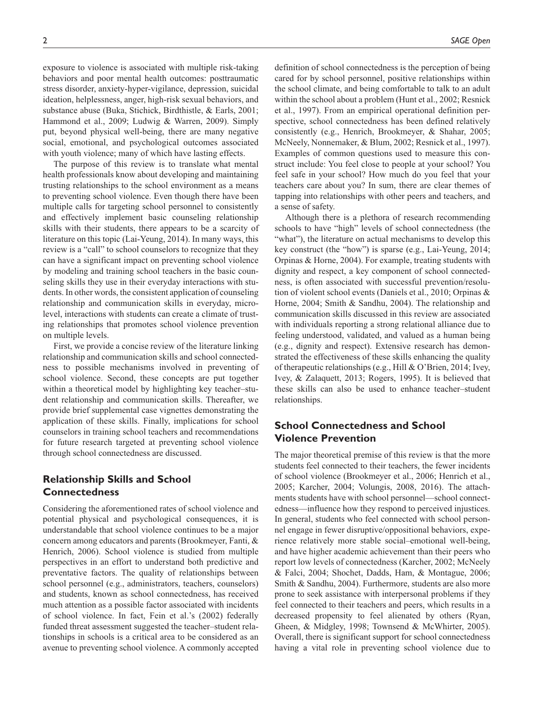exposure to violence is associated with multiple risk-taking behaviors and poor mental health outcomes: posttraumatic stress disorder, anxiety-hyper-vigilance, depression, suicidal ideation, helplessness, anger, high-risk sexual behaviors, and substance abuse (Buka, Stichick, Birdthistle, & Earls, 2001; Hammond et al., 2009; Ludwig & Warren, 2009). Simply put, beyond physical well-being, there are many negative social, emotional, and psychological outcomes associated with youth violence; many of which have lasting effects.

The purpose of this review is to translate what mental health professionals know about developing and maintaining trusting relationships to the school environment as a means to preventing school violence. Even though there have been multiple calls for targeting school personnel to consistently and effectively implement basic counseling relationship skills with their students, there appears to be a scarcity of literature on this topic (Lai-Yeung, 2014). In many ways, this review is a "call" to school counselors to recognize that they can have a significant impact on preventing school violence by modeling and training school teachers in the basic counseling skills they use in their everyday interactions with students. In other words, the consistent application of counseling relationship and communication skills in everyday, microlevel, interactions with students can create a climate of trusting relationships that promotes school violence prevention on multiple levels.

First, we provide a concise review of the literature linking relationship and communication skills and school connectedness to possible mechanisms involved in preventing of school violence. Second, these concepts are put together within a theoretical model by highlighting key teacher–student relationship and communication skills. Thereafter, we provide brief supplemental case vignettes demonstrating the application of these skills. Finally, implications for school counselors in training school teachers and recommendations for future research targeted at preventing school violence through school connectedness are discussed.

## **Relationship Skills and School Connectedness**

Considering the aforementioned rates of school violence and potential physical and psychological consequences, it is understandable that school violence continues to be a major concern among educators and parents (Brookmeyer, Fanti, & Henrich, 2006). School violence is studied from multiple perspectives in an effort to understand both predictive and preventative factors. The quality of relationships between school personnel (e.g., administrators, teachers, counselors) and students, known as school connectedness, has received much attention as a possible factor associated with incidents of school violence. In fact, Fein et al.'s (2002) federally funded threat assessment suggested the teacher–student relationships in schools is a critical area to be considered as an avenue to preventing school violence. A commonly accepted

definition of school connectedness is the perception of being cared for by school personnel, positive relationships within the school climate, and being comfortable to talk to an adult within the school about a problem (Hunt et al., 2002; Resnick et al., 1997). From an empirical operational definition perspective, school connectedness has been defined relatively consistently (e.g., Henrich, Brookmeyer, & Shahar, 2005; McNeely, Nonnemaker, & Blum, 2002; Resnick et al., 1997). Examples of common questions used to measure this construct include: You feel close to people at your school? You feel safe in your school? How much do you feel that your teachers care about you? In sum, there are clear themes of tapping into relationships with other peers and teachers, and a sense of safety.

Although there is a plethora of research recommending schools to have "high" levels of school connectedness (the "what"), the literature on actual mechanisms to develop this key construct (the "how") is sparse (e.g., Lai-Yeung, 2014; Orpinas & Horne, 2004). For example, treating students with dignity and respect, a key component of school connectedness, is often associated with successful prevention/resolution of violent school events (Daniels et al., 2010; Orpinas & Horne, 2004; Smith & Sandhu, 2004). The relationship and communication skills discussed in this review are associated with individuals reporting a strong relational alliance due to feeling understood, validated, and valued as a human being (e.g., dignity and respect). Extensive research has demonstrated the effectiveness of these skills enhancing the quality of therapeutic relationships (e.g., Hill & O'Brien, 2014; Ivey, Ivey, & Zalaquett, 2013; Rogers, 1995). It is believed that these skills can also be used to enhance teacher–student relationships.

## **School Connectedness and School Violence Prevention**

The major theoretical premise of this review is that the more students feel connected to their teachers, the fewer incidents of school violence (Brookmeyer et al., 2006; Henrich et al., 2005; Karcher, 2004; Volungis, 2008, 2016). The attachments students have with school personnel—school connectedness—influence how they respond to perceived injustices. In general, students who feel connected with school personnel engage in fewer disruptive/oppositional behaviors, experience relatively more stable social–emotional well-being, and have higher academic achievement than their peers who report low levels of connectedness (Karcher, 2002; McNeely & Falci, 2004; Shochet, Dadds, Ham, & Montague, 2006; Smith & Sandhu, 2004). Furthermore, students are also more prone to seek assistance with interpersonal problems if they feel connected to their teachers and peers, which results in a decreased propensity to feel alienated by others (Ryan, Gheen, & Midgley, 1998; Townsend & McWhirter, 2005). Overall, there is significant support for school connectedness having a vital role in preventing school violence due to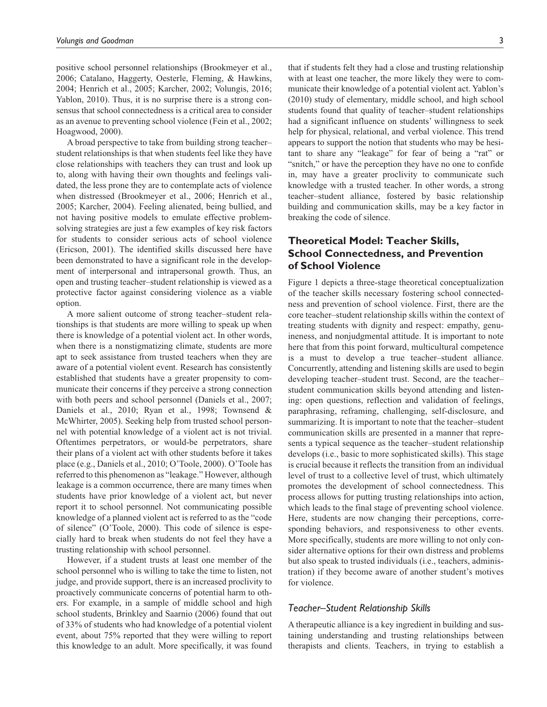positive school personnel relationships (Brookmeyer et al., 2006; Catalano, Haggerty, Oesterle, Fleming, & Hawkins, 2004; Henrich et al., 2005; Karcher, 2002; Volungis, 2016; Yablon, 2010). Thus, it is no surprise there is a strong consensus that school connectedness is a critical area to consider as an avenue to preventing school violence (Fein et al., 2002; Hoagwood, 2000).

A broad perspective to take from building strong teacher– student relationships is that when students feel like they have close relationships with teachers they can trust and look up to, along with having their own thoughts and feelings validated, the less prone they are to contemplate acts of violence when distressed (Brookmeyer et al., 2006; Henrich et al., 2005; Karcher, 2004). Feeling alienated, being bullied, and not having positive models to emulate effective problemsolving strategies are just a few examples of key risk factors for students to consider serious acts of school violence (Ericson, 2001). The identified skills discussed here have been demonstrated to have a significant role in the development of interpersonal and intrapersonal growth. Thus, an open and trusting teacher–student relationship is viewed as a protective factor against considering violence as a viable option.

A more salient outcome of strong teacher–student relationships is that students are more willing to speak up when there is knowledge of a potential violent act. In other words, when there is a nonstigmatizing climate, students are more apt to seek assistance from trusted teachers when they are aware of a potential violent event. Research has consistently established that students have a greater propensity to communicate their concerns if they perceive a strong connection with both peers and school personnel (Daniels et al., 2007; Daniels et al., 2010; Ryan et al., 1998; Townsend & McWhirter, 2005). Seeking help from trusted school personnel with potential knowledge of a violent act is not trivial. Oftentimes perpetrators, or would-be perpetrators, share their plans of a violent act with other students before it takes place (e.g., Daniels et al., 2010; O'Toole, 2000). O'Toole has referred to this phenomenon as "leakage." However, although leakage is a common occurrence, there are many times when students have prior knowledge of a violent act, but never report it to school personnel. Not communicating possible knowledge of a planned violent act is referred to as the "code of silence" (O'Toole, 2000). This code of silence is especially hard to break when students do not feel they have a trusting relationship with school personnel.

However, if a student trusts at least one member of the school personnel who is willing to take the time to listen, not judge, and provide support, there is an increased proclivity to proactively communicate concerns of potential harm to others. For example, in a sample of middle school and high school students, Brinkley and Saarnio (2006) found that out of 33% of students who had knowledge of a potential violent event, about 75% reported that they were willing to report this knowledge to an adult. More specifically, it was found

that if students felt they had a close and trusting relationship with at least one teacher, the more likely they were to communicate their knowledge of a potential violent act. Yablon's (2010) study of elementary, middle school, and high school students found that quality of teacher–student relationships had a significant influence on students' willingness to seek help for physical, relational, and verbal violence. This trend appears to support the notion that students who may be hesitant to share any "leakage" for fear of being a "rat" or "snitch," or have the perception they have no one to confide in, may have a greater proclivity to communicate such knowledge with a trusted teacher. In other words, a strong teacher–student alliance, fostered by basic relationship building and communication skills, may be a key factor in breaking the code of silence.

# **Theoretical Model: Teacher Skills, School Connectedness, and Prevention of School Violence**

Figure 1 depicts a three-stage theoretical conceptualization of the teacher skills necessary fostering school connectedness and prevention of school violence. First, there are the core teacher–student relationship skills within the context of treating students with dignity and respect: empathy, genuineness, and nonjudgmental attitude. It is important to note here that from this point forward, multicultural competence is a must to develop a true teacher–student alliance. Concurrently, attending and listening skills are used to begin developing teacher–student trust. Second, are the teacher– student communication skills beyond attending and listening: open questions, reflection and validation of feelings, paraphrasing, reframing, challenging, self-disclosure, and summarizing. It is important to note that the teacher–student communication skills are presented in a manner that represents a typical sequence as the teacher–student relationship develops (i.e., basic to more sophisticated skills). This stage is crucial because it reflects the transition from an individual level of trust to a collective level of trust, which ultimately promotes the development of school connectedness. This process allows for putting trusting relationships into action, which leads to the final stage of preventing school violence. Here, students are now changing their perceptions, corresponding behaviors, and responsiveness to other events. More specifically, students are more willing to not only consider alternative options for their own distress and problems but also speak to trusted individuals (i.e., teachers, administration) if they become aware of another student's motives for violence.

#### *Teacher–Student Relationship Skills*

A therapeutic alliance is a key ingredient in building and sustaining understanding and trusting relationships between therapists and clients. Teachers, in trying to establish a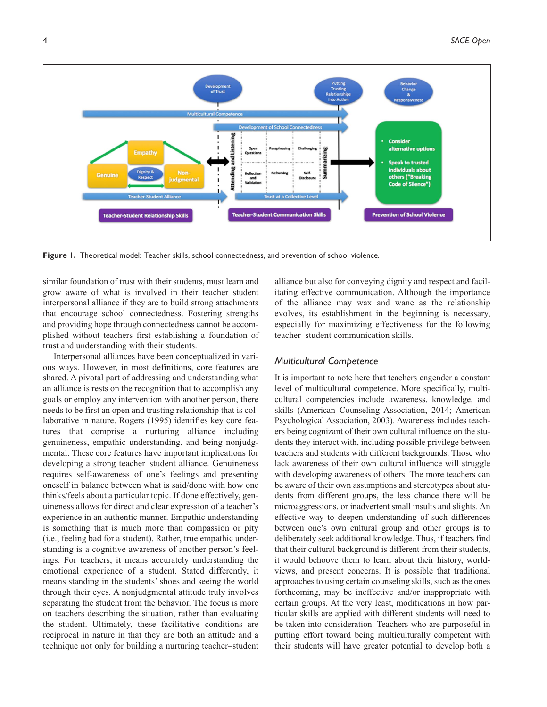

**Figure 1.** Theoretical model: Teacher skills, school connectedness, and prevention of school violence.

similar foundation of trust with their students, must learn and grow aware of what is involved in their teacher–student interpersonal alliance if they are to build strong attachments that encourage school connectedness. Fostering strengths and providing hope through connectedness cannot be accomplished without teachers first establishing a foundation of trust and understanding with their students.

Interpersonal alliances have been conceptualized in various ways. However, in most definitions, core features are shared. A pivotal part of addressing and understanding what an alliance is rests on the recognition that to accomplish any goals or employ any intervention with another person, there needs to be first an open and trusting relationship that is collaborative in nature. Rogers (1995) identifies key core features that comprise a nurturing alliance including genuineness, empathic understanding, and being nonjudgmental. These core features have important implications for developing a strong teacher–student alliance. Genuineness requires self-awareness of one's feelings and presenting oneself in balance between what is said/done with how one thinks/feels about a particular topic. If done effectively, genuineness allows for direct and clear expression of a teacher's experience in an authentic manner. Empathic understanding is something that is much more than compassion or pity (i.e., feeling bad for a student). Rather, true empathic understanding is a cognitive awareness of another person's feelings. For teachers, it means accurately understanding the emotional experience of a student. Stated differently, it means standing in the students' shoes and seeing the world through their eyes. A nonjudgmental attitude truly involves separating the student from the behavior. The focus is more on teachers describing the situation, rather than evaluating the student. Ultimately, these facilitative conditions are reciprocal in nature in that they are both an attitude and a technique not only for building a nurturing teacher–student

alliance but also for conveying dignity and respect and facilitating effective communication. Although the importance of the alliance may wax and wane as the relationship evolves, its establishment in the beginning is necessary, especially for maximizing effectiveness for the following teacher–student communication skills.

#### *Multicultural Competence*

It is important to note here that teachers engender a constant level of multicultural competence. More specifically, multicultural competencies include awareness, knowledge, and skills (American Counseling Association, 2014; American Psychological Association, 2003). Awareness includes teachers being cognizant of their own cultural influence on the students they interact with, including possible privilege between teachers and students with different backgrounds. Those who lack awareness of their own cultural influence will struggle with developing awareness of others. The more teachers can be aware of their own assumptions and stereotypes about students from different groups, the less chance there will be microaggressions, or inadvertent small insults and slights. An effective way to deepen understanding of such differences between one's own cultural group and other groups is to deliberately seek additional knowledge. Thus, if teachers find that their cultural background is different from their students, it would behoove them to learn about their history, worldviews, and present concerns. It is possible that traditional approaches to using certain counseling skills, such as the ones forthcoming, may be ineffective and/or inappropriate with certain groups. At the very least, modifications in how particular skills are applied with different students will need to be taken into consideration. Teachers who are purposeful in putting effort toward being multiculturally competent with their students will have greater potential to develop both a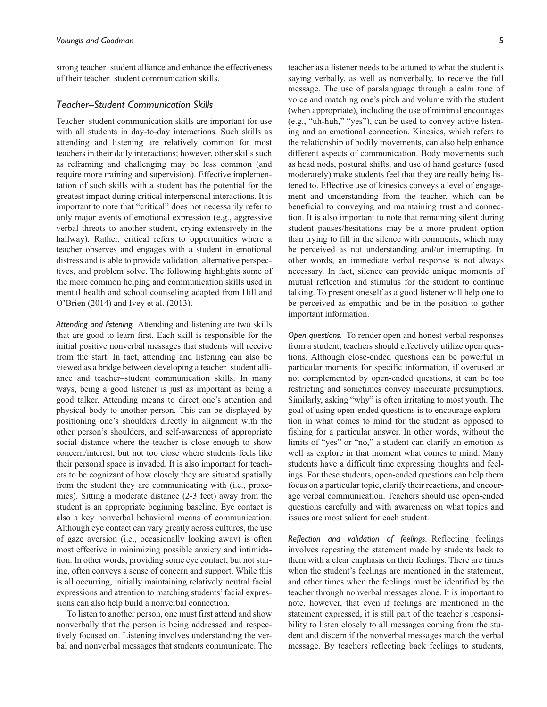strong teacher–student alliance and enhance the effectiveness of their teacher–student communication skills.

## *Teacher–Student Communication Skills*

Teacher–student communication skills are important for use with all students in day-to-day interactions. Such skills as attending and listening are relatively common for most teachers in their daily interactions; however, other skills such as reframing and challenging may be less common (and require more training and supervision). Effective implementation of such skills with a student has the potential for the greatest impact during critical interpersonal interactions. It is important to note that "critical" does not necessarily refer to only major events of emotional expression (e.g., aggressive verbal threats to another student, crying extensively in the hallway). Rather, critical refers to opportunities where a teacher observes and engages with a student in emotional distress and is able to provide validation, alternative perspectives, and problem solve. The following highlights some of the more common helping and communication skills used in mental health and school counseling adapted from Hill and O'Brien (2014) and Ivey et al. (2013).

*Attending and listening.* Attending and listening are two skills that are good to learn first. Each skill is responsible for the initial positive nonverbal messages that students will receive from the start. In fact, attending and listening can also be viewed as a bridge between developing a teacher–student alliance and teacher–student communication skills. In many ways, being a good listener is just as important as being a good talker. Attending means to direct one's attention and physical body to another person. This can be displayed by positioning one's shoulders directly in alignment with the other person's shoulders, and self-awareness of appropriate social distance where the teacher is close enough to show concern/interest, but not too close where students feels like their personal space is invaded. It is also important for teachers to be cognizant of how closely they are situated spatially from the student they are communicating with (i.e., proxemics). Sitting a moderate distance (2-3 feet) away from the student is an appropriate beginning baseline. Eye contact is also a key nonverbal behavioral means of communication. Although eye contact can vary greatly across cultures, the use of gaze aversion (i.e., occasionally looking away) is often most effective in minimizing possible anxiety and intimidation. In other words, providing some eye contact, but not staring, often conveys a sense of concern and support. While this is all occurring, initially maintaining relatively neutral facial expressions and attention to matching students' facial expressions can also help build a nonverbal connection.

To listen to another person, one must first attend and show nonverbally that the person is being addressed and respectively focused on. Listening involves understanding the verbal and nonverbal messages that students communicate. The teacher as a listener needs to be attuned to what the student is saying verbally, as well as nonverbally, to receive the full message. The use of paralanguage through a calm tone of voice and matching one's pitch and volume with the student (when appropriate), including the use of minimal encourages (e.g., "uh-huh," "yes"), can be used to convey active listening and an emotional connection. Kinesics, which refers to the relationship of bodily movements, can also help enhance different aspects of communication. Body movements such as head nods, postural shifts, and use of hand gestures (used moderately) make students feel that they are really being listened to. Effective use of kinesics conveys a level of engagement and understanding from the teacher, which can be beneficial to conveying and maintaining trust and connection. It is also important to note that remaining silent during student pauses/hesitations may be a more prudent option than trying to fill in the silence with comments, which may be perceived as not understanding and/or interrupting. In other words, an immediate verbal response is not always necessary. In fact, silence can provide unique moments of mutual reflection and stimulus for the student to continue talking. To present oneself as a good listener will help one to be perceived as empathic and be in the position to gather important information.

*Open questions.* To render open and honest verbal responses from a student, teachers should effectively utilize open questions. Although close-ended questions can be powerful in particular moments for specific information, if overused or not complemented by open-ended questions, it can be too restricting and sometimes convey inaccurate presumptions. Similarly, asking "why" is often irritating to most youth. The goal of using open-ended questions is to encourage exploration in what comes to mind for the student as opposed to fishing for a particular answer. In other words, without the limits of "yes" or "no," a student can clarify an emotion as well as explore in that moment what comes to mind. Many students have a difficult time expressing thoughts and feelings. For these students, open-ended questions can help them focus on a particular topic, clarify their reactions, and encourage verbal communication. Teachers should use open-ended questions carefully and with awareness on what topics and issues are most salient for each student.

*Reflection and validation of feelings.* Reflecting feelings involves repeating the statement made by students back to them with a clear emphasis on their feelings. There are times when the student's feelings are mentioned in the statement, and other times when the feelings must be identified by the teacher through nonverbal messages alone. It is important to note, however, that even if feelings are mentioned in the statement expressed, it is still part of the teacher's responsibility to listen closely to all messages coming from the student and discern if the nonverbal messages match the verbal message. By teachers reflecting back feelings to students,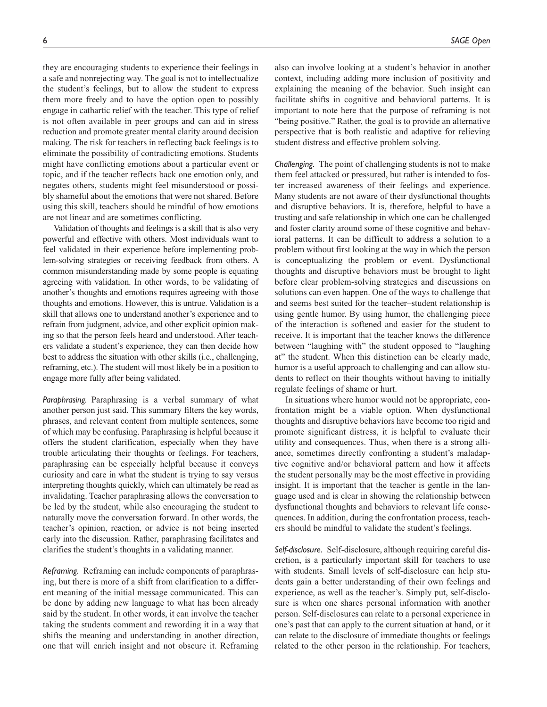they are encouraging students to experience their feelings in a safe and nonrejecting way. The goal is not to intellectualize the student's feelings, but to allow the student to express them more freely and to have the option open to possibly engage in cathartic relief with the teacher. This type of relief is not often available in peer groups and can aid in stress reduction and promote greater mental clarity around decision making. The risk for teachers in reflecting back feelings is to eliminate the possibility of contradicting emotions. Students might have conflicting emotions about a particular event or topic, and if the teacher reflects back one emotion only, and negates others, students might feel misunderstood or possibly shameful about the emotions that were not shared. Before using this skill, teachers should be mindful of how emotions are not linear and are sometimes conflicting.

Validation of thoughts and feelings is a skill that is also very powerful and effective with others. Most individuals want to feel validated in their experience before implementing problem-solving strategies or receiving feedback from others. A common misunderstanding made by some people is equating agreeing with validation. In other words, to be validating of another's thoughts and emotions requires agreeing with those thoughts and emotions. However, this is untrue. Validation is a skill that allows one to understand another's experience and to refrain from judgment, advice, and other explicit opinion making so that the person feels heard and understood. After teachers validate a student's experience, they can then decide how best to address the situation with other skills (i.e., challenging, reframing, etc.). The student will most likely be in a position to engage more fully after being validated.

*Paraphrasing.* Paraphrasing is a verbal summary of what another person just said. This summary filters the key words, phrases, and relevant content from multiple sentences, some of which may be confusing. Paraphrasing is helpful because it offers the student clarification, especially when they have trouble articulating their thoughts or feelings. For teachers, paraphrasing can be especially helpful because it conveys curiosity and care in what the student is trying to say versus interpreting thoughts quickly, which can ultimately be read as invalidating. Teacher paraphrasing allows the conversation to be led by the student, while also encouraging the student to naturally move the conversation forward. In other words, the teacher's opinion, reaction, or advice is not being inserted early into the discussion. Rather, paraphrasing facilitates and clarifies the student's thoughts in a validating manner.

*Reframing.* Reframing can include components of paraphrasing, but there is more of a shift from clarification to a different meaning of the initial message communicated. This can be done by adding new language to what has been already said by the student. In other words, it can involve the teacher taking the students comment and rewording it in a way that shifts the meaning and understanding in another direction, one that will enrich insight and not obscure it. Reframing

also can involve looking at a student's behavior in another context, including adding more inclusion of positivity and explaining the meaning of the behavior. Such insight can facilitate shifts in cognitive and behavioral patterns. It is important to note here that the purpose of reframing is not "being positive." Rather, the goal is to provide an alternative perspective that is both realistic and adaptive for relieving student distress and effective problem solving.

*Challenging.* The point of challenging students is not to make them feel attacked or pressured, but rather is intended to foster increased awareness of their feelings and experience. Many students are not aware of their dysfunctional thoughts and disruptive behaviors. It is, therefore, helpful to have a trusting and safe relationship in which one can be challenged and foster clarity around some of these cognitive and behavioral patterns. It can be difficult to address a solution to a problem without first looking at the way in which the person is conceptualizing the problem or event. Dysfunctional thoughts and disruptive behaviors must be brought to light before clear problem-solving strategies and discussions on solutions can even happen. One of the ways to challenge that and seems best suited for the teacher–student relationship is using gentle humor. By using humor, the challenging piece of the interaction is softened and easier for the student to receive. It is important that the teacher knows the difference between "laughing with" the student opposed to "laughing at" the student. When this distinction can be clearly made, humor is a useful approach to challenging and can allow students to reflect on their thoughts without having to initially regulate feelings of shame or hurt.

In situations where humor would not be appropriate, confrontation might be a viable option. When dysfunctional thoughts and disruptive behaviors have become too rigid and promote significant distress, it is helpful to evaluate their utility and consequences. Thus, when there is a strong alliance, sometimes directly confronting a student's maladaptive cognitive and/or behavioral pattern and how it affects the student personally may be the most effective in providing insight. It is important that the teacher is gentle in the language used and is clear in showing the relationship between dysfunctional thoughts and behaviors to relevant life consequences. In addition, during the confrontation process, teachers should be mindful to validate the student's feelings.

*Self-disclosure.* Self-disclosure, although requiring careful discretion, is a particularly important skill for teachers to use with students. Small levels of self-disclosure can help students gain a better understanding of their own feelings and experience, as well as the teacher's. Simply put, self-disclosure is when one shares personal information with another person. Self-disclosures can relate to a personal experience in one's past that can apply to the current situation at hand, or it can relate to the disclosure of immediate thoughts or feelings related to the other person in the relationship. For teachers,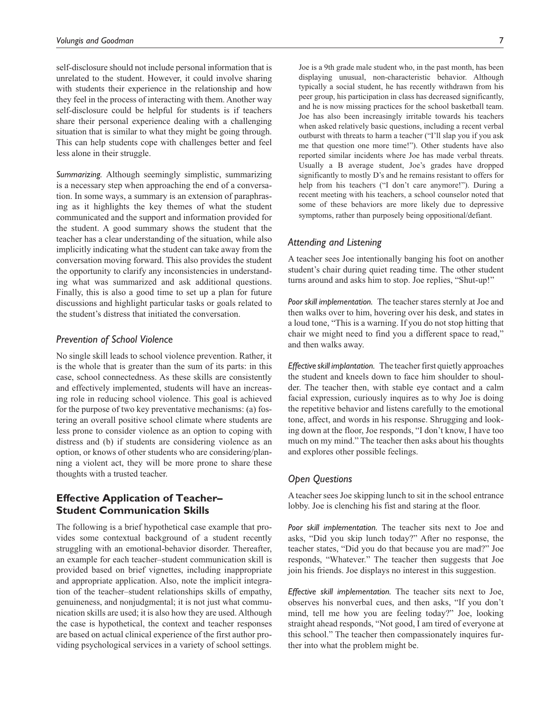self-disclosure should not include personal information that is unrelated to the student. However, it could involve sharing with students their experience in the relationship and how they feel in the process of interacting with them. Another way self-disclosure could be helpful for students is if teachers share their personal experience dealing with a challenging situation that is similar to what they might be going through. This can help students cope with challenges better and feel less alone in their struggle.

*Summarizing.* Although seemingly simplistic, summarizing is a necessary step when approaching the end of a conversation. In some ways, a summary is an extension of paraphrasing as it highlights the key themes of what the student communicated and the support and information provided for the student. A good summary shows the student that the teacher has a clear understanding of the situation, while also implicitly indicating what the student can take away from the conversation moving forward. This also provides the student the opportunity to clarify any inconsistencies in understanding what was summarized and ask additional questions. Finally, this is also a good time to set up a plan for future discussions and highlight particular tasks or goals related to the student's distress that initiated the conversation.

#### *Prevention of School Violence*

No single skill leads to school violence prevention. Rather, it is the whole that is greater than the sum of its parts: in this case, school connectedness. As these skills are consistently and effectively implemented, students will have an increasing role in reducing school violence. This goal is achieved for the purpose of two key preventative mechanisms: (a) fostering an overall positive school climate where students are less prone to consider violence as an option to coping with distress and (b) if students are considering violence as an option, or knows of other students who are considering/planning a violent act, they will be more prone to share these thoughts with a trusted teacher.

# **Effective Application of Teacher– Student Communication Skills**

The following is a brief hypothetical case example that provides some contextual background of a student recently struggling with an emotional-behavior disorder. Thereafter, an example for each teacher–student communication skill is provided based on brief vignettes, including inappropriate and appropriate application. Also, note the implicit integration of the teacher–student relationships skills of empathy, genuineness, and nonjudgmental; it is not just what communication skills are used; it is also how they are used. Although the case is hypothetical, the context and teacher responses are based on actual clinical experience of the first author providing psychological services in a variety of school settings.

Joe is a 9th grade male student who, in the past month, has been displaying unusual, non-characteristic behavior. Although typically a social student, he has recently withdrawn from his peer group, his participation in class has decreased significantly, and he is now missing practices for the school basketball team. Joe has also been increasingly irritable towards his teachers when asked relatively basic questions, including a recent verbal outburst with threats to harm a teacher ("I'll slap you if you ask me that question one more time!"). Other students have also reported similar incidents where Joe has made verbal threats. Usually a B average student, Joe's grades have dropped significantly to mostly D's and he remains resistant to offers for help from his teachers ("I don't care anymore!"). During a recent meeting with his teachers, a school counselor noted that some of these behaviors are more likely due to depressive symptoms, rather than purposely being oppositional/defiant.

#### *Attending and Listening*

A teacher sees Joe intentionally banging his foot on another student's chair during quiet reading time. The other student turns around and asks him to stop. Joe replies, "Shut-up!"

*Poor skill implementation.* The teacher stares sternly at Joe and then walks over to him, hovering over his desk, and states in a loud tone, "This is a warning. If you do not stop hitting that chair we might need to find you a different space to read," and then walks away.

*Effective skill implantation.* The teacher first quietly approaches the student and kneels down to face him shoulder to shoulder. The teacher then, with stable eye contact and a calm facial expression, curiously inquires as to why Joe is doing the repetitive behavior and listens carefully to the emotional tone, affect, and words in his response. Shrugging and looking down at the floor, Joe responds, "I don't know, I have too much on my mind." The teacher then asks about his thoughts and explores other possible feelings.

#### *Open Questions*

A teacher sees Joe skipping lunch to sit in the school entrance lobby. Joe is clenching his fist and staring at the floor.

*Poor skill implementation.* The teacher sits next to Joe and asks, "Did you skip lunch today?" After no response, the teacher states, "Did you do that because you are mad?" Joe responds, "Whatever." The teacher then suggests that Joe join his friends. Joe displays no interest in this suggestion.

*Effective skill implementation.* The teacher sits next to Joe, observes his nonverbal cues, and then asks, "If you don't mind, tell me how you are feeling today?" Joe, looking straight ahead responds, "Not good, I am tired of everyone at this school." The teacher then compassionately inquires further into what the problem might be.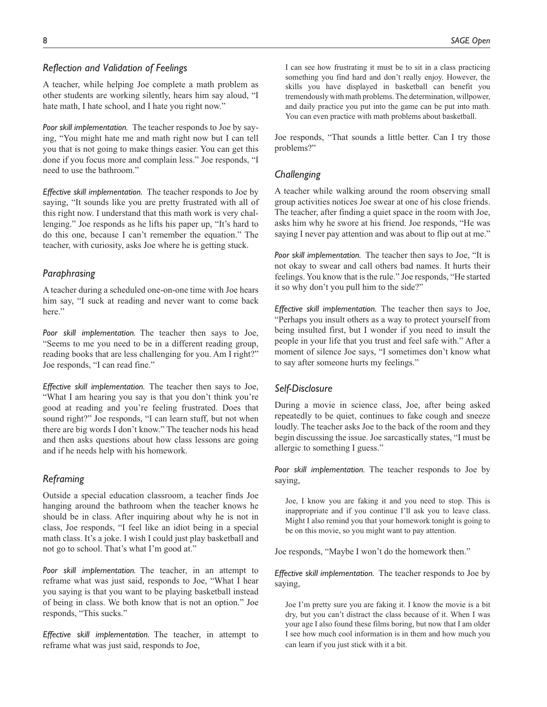#### *Reflection and Validation of Feelings*

A teacher, while helping Joe complete a math problem as other students are working silently, hears him say aloud, "I hate math, I hate school, and I hate you right now."

*Poor skill implementation.* The teacher responds to Joe by saying, "You might hate me and math right now but I can tell you that is not going to make things easier. You can get this done if you focus more and complain less." Joe responds, "I need to use the bathroom."

*Effective skill implementation.* The teacher responds to Joe by saying, "It sounds like you are pretty frustrated with all of this right now. I understand that this math work is very challenging." Joe responds as he lifts his paper up, "It's hard to do this one, because I can't remember the equation." The teacher, with curiosity, asks Joe where he is getting stuck.

#### *Paraphrasing*

A teacher during a scheduled one-on-one time with Joe hears him say, "I suck at reading and never want to come back here."

*Poor skill implementation.* The teacher then says to Joe, "Seems to me you need to be in a different reading group, reading books that are less challenging for you. Am I right?" Joe responds, "I can read fine."

*Effective skill implementation.* The teacher then says to Joe, "What I am hearing you say is that you don't think you're good at reading and you're feeling frustrated. Does that sound right?" Joe responds, "I can learn stuff, but not when there are big words I don't know." The teacher nods his head and then asks questions about how class lessons are going and if he needs help with his homework.

### *Reframing*

Outside a special education classroom, a teacher finds Joe hanging around the bathroom when the teacher knows he should be in class. After inquiring about why he is not in class, Joe responds, "I feel like an idiot being in a special math class. It's a joke. I wish I could just play basketball and not go to school. That's what I'm good at."

*Poor skill implementation.* The teacher, in an attempt to reframe what was just said, responds to Joe, "What I hear you saying is that you want to be playing basketball instead of being in class. We both know that is not an option." Joe responds, "This sucks."

*Effective skill implementation.* The teacher, in attempt to reframe what was just said, responds to Joe,

Joe responds, "That sounds a little better. Can I try those problems?"

#### *Challenging*

A teacher while walking around the room observing small group activities notices Joe swear at one of his close friends. The teacher, after finding a quiet space in the room with Joe, asks him why he swore at his friend. Joe responds, "He was saying I never pay attention and was about to flip out at me."

*Poor skill implementation.* The teacher then says to Joe, "It is not okay to swear and call others bad names. It hurts their feelings. You know that is the rule." Joe responds, "He started it so why don't you pull him to the side?"

*Effective skill implementation.* The teacher then says to Joe, "Perhaps you insult others as a way to protect yourself from being insulted first, but I wonder if you need to insult the people in your life that you trust and feel safe with." After a moment of silence Joe says, "I sometimes don't know what to say after someone hurts my feelings."

#### *Self-Disclosure*

During a movie in science class, Joe, after being asked repeatedly to be quiet, continues to fake cough and sneeze loudly. The teacher asks Joe to the back of the room and they begin discussing the issue. Joe sarcastically states, "I must be allergic to something I guess."

*Poor skill implementation.* The teacher responds to Joe by saying,

Joe, I know you are faking it and you need to stop. This is inappropriate and if you continue I'll ask you to leave class. Might I also remind you that your homework tonight is going to be on this movie, so you might want to pay attention.

Joe responds, "Maybe I won't do the homework then."

*Effective skill implementation.* The teacher responds to Joe by saying,

Joe I'm pretty sure you are faking it. I know the movie is a bit dry, but you can't distract the class because of it. When I was your age I also found these films boring, but now that I am older I see how much cool information is in them and how much you can learn if you just stick with it a bit.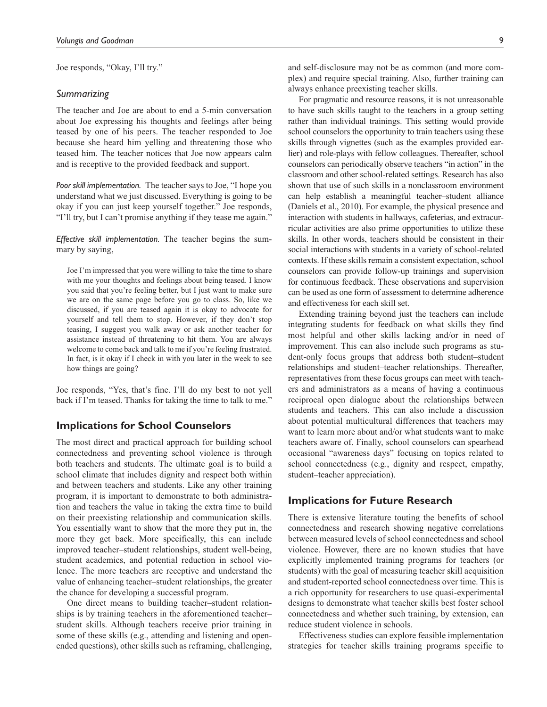Joe responds, "Okay, I'll try."

#### *Summarizing*

The teacher and Joe are about to end a 5-min conversation about Joe expressing his thoughts and feelings after being teased by one of his peers. The teacher responded to Joe because she heard him yelling and threatening those who teased him. The teacher notices that Joe now appears calm and is receptive to the provided feedback and support.

*Poor skill implementation.* The teacher says to Joe, "I hope you understand what we just discussed. Everything is going to be okay if you can just keep yourself together." Joe responds, "I'll try, but I can't promise anything if they tease me again."

*Effective skill implementation.* The teacher begins the summary by saying,

Joe I'm impressed that you were willing to take the time to share with me your thoughts and feelings about being teased. I know you said that you're feeling better, but I just want to make sure we are on the same page before you go to class. So, like we discussed, if you are teased again it is okay to advocate for yourself and tell them to stop. However, if they don't stop teasing, I suggest you walk away or ask another teacher for assistance instead of threatening to hit them. You are always welcome to come back and talk to me if you're feeling frustrated. In fact, is it okay if I check in with you later in the week to see how things are going?

Joe responds, "Yes, that's fine. I'll do my best to not yell back if I'm teased. Thanks for taking the time to talk to me."

#### **Implications for School Counselors**

The most direct and practical approach for building school connectedness and preventing school violence is through both teachers and students. The ultimate goal is to build a school climate that includes dignity and respect both within and between teachers and students. Like any other training program, it is important to demonstrate to both administration and teachers the value in taking the extra time to build on their preexisting relationship and communication skills. You essentially want to show that the more they put in, the more they get back. More specifically, this can include improved teacher–student relationships, student well-being, student academics, and potential reduction in school violence. The more teachers are receptive and understand the value of enhancing teacher–student relationships, the greater the chance for developing a successful program.

One direct means to building teacher–student relationships is by training teachers in the aforementioned teacher– student skills. Although teachers receive prior training in some of these skills (e.g., attending and listening and openended questions), other skills such as reframing, challenging,

and self-disclosure may not be as common (and more complex) and require special training. Also, further training can always enhance preexisting teacher skills.

For pragmatic and resource reasons, it is not unreasonable to have such skills taught to the teachers in a group setting rather than individual trainings. This setting would provide school counselors the opportunity to train teachers using these skills through vignettes (such as the examples provided earlier) and role-plays with fellow colleagues. Thereafter, school counselors can periodically observe teachers "in action" in the classroom and other school-related settings. Research has also shown that use of such skills in a nonclassroom environment can help establish a meaningful teacher–student alliance (Daniels et al., 2010). For example, the physical presence and interaction with students in hallways, cafeterias, and extracurricular activities are also prime opportunities to utilize these skills. In other words, teachers should be consistent in their social interactions with students in a variety of school-related contexts. If these skills remain a consistent expectation, school counselors can provide follow-up trainings and supervision for continuous feedback. These observations and supervision can be used as one form of assessment to determine adherence and effectiveness for each skill set.

Extending training beyond just the teachers can include integrating students for feedback on what skills they find most helpful and other skills lacking and/or in need of improvement. This can also include such programs as student-only focus groups that address both student–student relationships and student–teacher relationships. Thereafter, representatives from these focus groups can meet with teachers and administrators as a means of having a continuous reciprocal open dialogue about the relationships between students and teachers. This can also include a discussion about potential multicultural differences that teachers may want to learn more about and/or what students want to make teachers aware of. Finally, school counselors can spearhead occasional "awareness days" focusing on topics related to school connectedness (e.g., dignity and respect, empathy, student–teacher appreciation).

#### **Implications for Future Research**

There is extensive literature touting the benefits of school connectedness and research showing negative correlations between measured levels of school connectedness and school violence. However, there are no known studies that have explicitly implemented training programs for teachers (or students) with the goal of measuring teacher skill acquisition and student-reported school connectedness over time. This is a rich opportunity for researchers to use quasi-experimental designs to demonstrate what teacher skills best foster school connectedness and whether such training, by extension, can reduce student violence in schools.

Effectiveness studies can explore feasible implementation strategies for teacher skills training programs specific to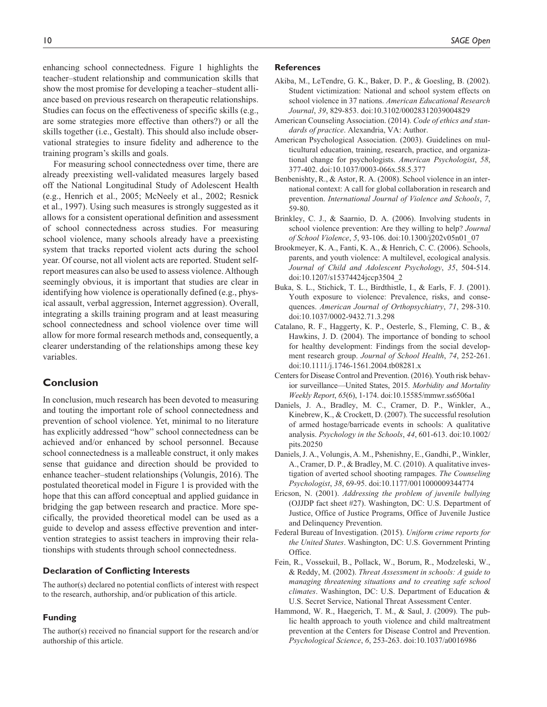enhancing school connectedness. Figure 1 highlights the teacher–student relationship and communication skills that show the most promise for developing a teacher–student alliance based on previous research on therapeutic relationships. Studies can focus on the effectiveness of specific skills (e.g., are some strategies more effective than others?) or all the skills together (i.e., Gestalt). This should also include observational strategies to insure fidelity and adherence to the training program's skills and goals.

For measuring school connectedness over time, there are already preexisting well-validated measures largely based off the National Longitudinal Study of Adolescent Health (e.g., Henrich et al., 2005; McNeely et al., 2002; Resnick et al., 1997). Using such measures is strongly suggested as it allows for a consistent operational definition and assessment of school connectedness across studies. For measuring school violence, many schools already have a preexisting system that tracks reported violent acts during the school year. Of course, not all violent acts are reported. Student selfreport measures can also be used to assess violence. Although seemingly obvious, it is important that studies are clear in identifying how violence is operationally defined (e.g., physical assault, verbal aggression, Internet aggression). Overall, integrating a skills training program and at least measuring school connectedness and school violence over time will allow for more formal research methods and, consequently, a clearer understanding of the relationships among these key variables.

### **Conclusion**

In conclusion, much research has been devoted to measuring and touting the important role of school connectedness and prevention of school violence. Yet, minimal to no literature has explicitly addressed "how" school connectedness can be achieved and/or enhanced by school personnel. Because school connectedness is a malleable construct, it only makes sense that guidance and direction should be provided to enhance teacher–student relationships (Volungis, 2016). The postulated theoretical model in Figure 1 is provided with the hope that this can afford conceptual and applied guidance in bridging the gap between research and practice. More specifically, the provided theoretical model can be used as a guide to develop and assess effective prevention and intervention strategies to assist teachers in improving their relationships with students through school connectedness.

#### **Declaration of Conflicting Interests**

The author(s) declared no potential conflicts of interest with respect to the research, authorship, and/or publication of this article.

#### **Funding**

The author(s) received no financial support for the research and/or authorship of this article.

#### **References**

- Akiba, M., LeTendre, G. K., Baker, D. P., & Goesling, B. (2002). Student victimization: National and school system effects on school violence in 37 nations. *American Educational Research Journal*, *39*, 829-853. doi:10.3102/00028312039004829
- American Counseling Association. (2014). *Code of ethics and standards of practice*. Alexandria, VA: Author.
- American Psychological Association. (2003). Guidelines on multicultural education, training, research, practice, and organizational change for psychologists. *American Psychologist*, *58*, 377-402. doi:10.1037/0003-066x.58.5.377
- Benbenishty, R., & Astor, R. A. (2008). School violence in an international context: A call for global collaboration in research and prevention. *International Journal of Violence and Schools*, *7*, 59-80.
- Brinkley, C. J., & Saarnio, D. A. (2006). Involving students in school violence prevention: Are they willing to help? *Journal of School Violence*, *5*, 93-106. doi:10.1300/j202v05n01\_07
- Brookmeyer, K. A., Fanti, K. A., & Henrich, C. C. (2006). Schools, parents, and youth violence: A multilevel, ecological analysis. *Journal of Child and Adolescent Psychology*, *35*, 504-514. doi:10.1207/s15374424jccp3504\_2
- Buka, S. L., Stichick, T. L., Birdthistle, I., & Earls, F. J. (2001). Youth exposure to violence: Prevalence, risks, and consequences. *American Journal of Orthopsychiatry*, *71*, 298-310. doi:10.1037/0002-9432.71.3.298
- Catalano, R. F., Haggerty, K. P., Oesterle, S., Fleming, C. B., & Hawkins, J. D. (2004). The importance of bonding to school for healthy development: Findings from the social development research group. *Journal of School Health*, *74*, 252-261. doi:10.1111/j.1746-1561.2004.tb08281.x
- Centers for Disease Control and Prevention. (2016). Youth risk behavior surveillance—United States, 2015. *Morbidity and Mortality Weekly Report*, *65*(6), 1-174. doi:10.15585/mmwr.ss6506a1
- Daniels, J. A., Bradley, M. C., Cramer, D. P., Winkler, A., Kinebrew, K., & Crockett, D. (2007). The successful resolution of armed hostage/barricade events in schools: A qualitative analysis. *Psychology in the Schools*, *44*, 601-613. doi:10.1002/ pits.20250
- Daniels, J. A., Volungis, A. M., Pshenishny, E., Gandhi, P., Winkler, A., Cramer, D. P., & Bradley, M. C. (2010). A qualitative investigation of averted school shooting rampages. *The Counseling Psychologist*, *38*, 69-95. doi:10.1177/0011000009344774
- Ericson, N. (2001). *Addressing the problem of juvenile bullying* (OJJDP fact sheet #27). Washington, DC: U.S. Department of Justice, Office of Justice Programs, Office of Juvenile Justice and Delinquency Prevention.
- Federal Bureau of Investigation. (2015). *Uniform crime reports for the United States*. Washington, DC: U.S. Government Printing Office.
- Fein, R., Vossekuil, B., Pollack, W., Borum, R., Modzeleski, W., & Reddy, M. (2002). *Threat Assessment in schools: A guide to managing threatening situations and to creating safe school climates*. Washington, DC: U.S. Department of Education & U.S. Secret Service, National Threat Assessment Center.
- Hammond, W. R., Haegerich, T. M., & Saul, J. (2009). The public health approach to youth violence and child maltreatment prevention at the Centers for Disease Control and Prevention. *Psychological Science*, *6*, 253-263. doi:10.1037/a0016986